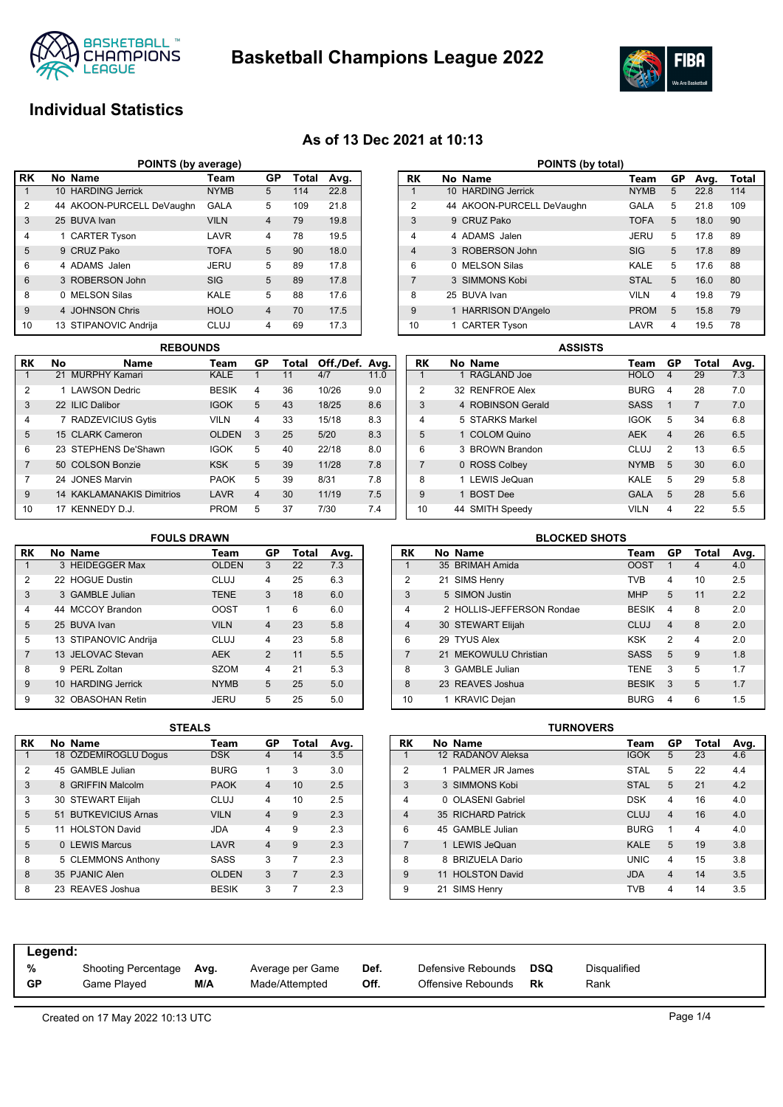

**Basketball Champions League 2022**



## **Individual Statistics**

## **As of 13 Dec 2021 at 10:13**

| POINTS (by average) |                                               |                           |             |                |     |      |  |  |  |  |  |  |
|---------------------|-----------------------------------------------|---------------------------|-------------|----------------|-----|------|--|--|--|--|--|--|
| <b>RK</b>           | No Name<br>GP<br><b>Total</b><br>Avg.<br>Team |                           |             |                |     |      |  |  |  |  |  |  |
|                     |                                               | 10 HARDING Jerrick        | <b>NYMB</b> | 5              | 114 | 22.8 |  |  |  |  |  |  |
| $\overline{2}$      |                                               | 44 AKOON-PURCELL DeVaughn | <b>GALA</b> | 5              | 109 | 21.8 |  |  |  |  |  |  |
| 3                   |                                               | 25 BUVA Ivan              | <b>VILN</b> | $\overline{4}$ | 79  | 19.8 |  |  |  |  |  |  |
| 4                   |                                               | 1 CARTER Tyson            | LAVR        | 4              | 78  | 19.5 |  |  |  |  |  |  |
| 5                   |                                               | 9 CRUZ Pako               | <b>TOFA</b> | 5              | 90  | 18.0 |  |  |  |  |  |  |
| 6                   |                                               | 4 ADAMS Jalen             | JERU        | 5              | 89  | 17.8 |  |  |  |  |  |  |
| 6                   |                                               | 3 ROBERSON John           | <b>SIG</b>  | 5              | 89  | 17.8 |  |  |  |  |  |  |
| 8                   | 0                                             | <b>MELSON Silas</b>       | KALE        | 5              | 88  | 17.6 |  |  |  |  |  |  |
| 9                   |                                               | 4 JOHNSON Chris           | <b>HOLO</b> | $\overline{4}$ | 70  | 17.5 |  |  |  |  |  |  |
| 10                  |                                               | 13 STIPANOVIC Andrija     | <b>CLUJ</b> | 4              | 69  | 17.3 |  |  |  |  |  |  |

|           | <b>REBOUNDS</b> |                                  |              |                |       |                |      |  |  |  |
|-----------|-----------------|----------------------------------|--------------|----------------|-------|----------------|------|--|--|--|
| <b>RK</b> | No              | <b>Name</b>                      | Team         | GP             | Total | Off./Def. Avg. |      |  |  |  |
|           |                 | 21 MURPHY Kamari                 | <b>KALE</b>  |                | 11    | 4/7            | 11.0 |  |  |  |
| 2         |                 | 1 LAWSON Dedric                  | <b>BESIK</b> | 4              | 36    | 10/26          | 9.0  |  |  |  |
| 3         |                 | 22 ILIC Dalibor                  | <b>IGOK</b>  | 5              | 43    | 18/25          | 8.6  |  |  |  |
| 4         | $\overline{7}$  | <b>RADZEVICIUS Gytis</b>         | <b>VILN</b>  | 4              | 33    | 15/18          | 8.3  |  |  |  |
| 5         |                 | 15 CLARK Cameron                 | <b>OLDEN</b> | 3              | 25    | 5/20           | 8.3  |  |  |  |
| 6         |                 | 23 STEPHENS De'Shawn             | <b>IGOK</b>  | 5              | 40    | 22/18          | 8.0  |  |  |  |
| 7         |                 | 50 COLSON Bonzie                 | <b>KSK</b>   | 5              | 39    | 11/28          | 7.8  |  |  |  |
| 7         |                 | 24 JONES Marvin                  | <b>PAOK</b>  | 5              | 39    | 8/31           | 7.8  |  |  |  |
| 9         |                 | <b>14 KAKLAMANAKIS Dimitrios</b> | LAVR         | $\overline{4}$ | 30    | 11/19          | 7.5  |  |  |  |
| 10        | 17              | KENNEDY D.J.                     | <b>PROM</b>  | 5              | 37    | 7/30           | 7.4  |  |  |  |

| POINTS (by total) |   |                           |             |                |      |       |  |  |  |  |  |
|-------------------|---|---------------------------|-------------|----------------|------|-------|--|--|--|--|--|
| RK                |   | No Name                   | Team        | GP             | Avg. | Total |  |  |  |  |  |
| 1                 |   | 10 HARDING Jerrick        | <b>NYMB</b> | 5              | 22.8 | 114   |  |  |  |  |  |
| $\overline{2}$    |   | 44 AKOON-PURCELL DeVaughn | GALA        | 5              | 21.8 | 109   |  |  |  |  |  |
| 3                 |   | 9 CRUZ Pako               | <b>TOFA</b> | 5              | 18.0 | 90    |  |  |  |  |  |
| 4                 |   | 4 ADAMS Jalen             | JERU        | 5              | 17.8 | 89    |  |  |  |  |  |
| $\overline{4}$    |   | 3 ROBERSON John           | SIG         | 5              | 17.8 | 89    |  |  |  |  |  |
| 6                 | 0 | <b>MELSON Silas</b>       | KALE        | 5              | 17.6 | 88    |  |  |  |  |  |
| $\overline{7}$    |   | 3 SIMMONS Kobi            | <b>STAL</b> | 5              | 16.0 | 80    |  |  |  |  |  |
| 8                 |   | 25 BUVA Ivan              | <b>VILN</b> | $\overline{4}$ | 19.8 | 79    |  |  |  |  |  |
| 9                 |   | <b>HARRISON D'Angelo</b>  | <b>PROM</b> | 5              | 15.8 | 79    |  |  |  |  |  |
| 10                |   | <b>CARTER Tyson</b>       | LAVR        | 4              | 19.5 | 78    |  |  |  |  |  |

|                | <b>ASSISTS</b> |                   |  |             |                |                |      |  |  |  |
|----------------|----------------|-------------------|--|-------------|----------------|----------------|------|--|--|--|
| RK             |                | No Name           |  | Team        | GP             | Total          | Avg. |  |  |  |
| 1              |                | 1 RAGLAND Joe     |  | <b>HOLO</b> | 4              | 29             | 7.3  |  |  |  |
| $\overline{2}$ |                | 32 RENFROE Alex   |  | <b>BURG</b> | 4              | 28             | 7.0  |  |  |  |
| 3              |                | 4 ROBINSON Gerald |  | <b>SASS</b> | 1              | $\overline{7}$ | 7.0  |  |  |  |
| $\overline{4}$ |                | 5 STARKS Markel   |  | <b>IGOK</b> | 5              | 34             | 6.8  |  |  |  |
| 5              |                | 1 COLOM Quino     |  | <b>AEK</b>  | $\overline{4}$ | 26             | 6.5  |  |  |  |
| 6              |                | 3 BROWN Brandon   |  | CLUJ        | $\overline{2}$ | 13             | 6.5  |  |  |  |
| $\overline{7}$ |                | 0 ROSS Colbey     |  | <b>NYMB</b> | 5              | 30             | 6.0  |  |  |  |
| 8              |                | 1 LEWIS JeQuan    |  | KALE        | 5              | 29             | 5.8  |  |  |  |
| 9              |                | 1 BOST Dee        |  | <b>GALA</b> | 5              | 28             | 5.6  |  |  |  |
| 10             |                | 44 SMITH Speedy   |  | <b>VILN</b> | 4              | 22             | 5.5  |  |  |  |

### **RK No Name Team GP Total Avg.** 1 3 HEIDEGGER Max 2 22 HOGUE Dustin CLUJ 4 25 6.3 3 3 GAMBLE Julian TENE 3 18 6.0 4 44 MCCOY Brandon OOST 1 6 6.0 5 25 BUVA Ivan VILN 4 23 5.8 5 13 STIPANOVIC Andrija CLUJ 4 23 5.8 7 13 JELOVAC Stevan AEK 2 11 5.5 8 9 PERL Zoltan SZOM 4 21 5.3 9 10 HARDING Jerrick NYMB 5 25 5.0 9 32 OBASOHAN Retin JERU 5 25 5.0 **FOULS DRAWN**

|                | <b>BLOCKED SHOTS</b> |                           |              |                |       |      |  |  |  |  |  |
|----------------|----------------------|---------------------------|--------------|----------------|-------|------|--|--|--|--|--|
| <b>RK</b>      |                      | No Name                   | Team         | GP             | Total | Avg. |  |  |  |  |  |
| 1              |                      | 35 BRIMAH Amida           | <b>OOST</b>  | 1              | 4     | 4.0  |  |  |  |  |  |
| 2              |                      | 21 SIMS Henry             | <b>TVB</b>   | 4              | 10    | 2.5  |  |  |  |  |  |
| 3              |                      | 5 SIMON Justin            | <b>MHP</b>   | 5              | 11    | 2.2  |  |  |  |  |  |
| 4              |                      | 2 HOLLIS-JEFFERSON Rondae | <b>BESIK</b> | 4              | 8     | 2.0  |  |  |  |  |  |
| $\overline{4}$ |                      | 30 STEWART Elijah         | CLUJ         | $\overline{4}$ | 8     | 2.0  |  |  |  |  |  |
| 6              |                      | 29 TYUS Alex              | KSK          | $\mathfrak{p}$ | 4     | 2.0  |  |  |  |  |  |
| $\overline{7}$ |                      | 21 MEKOWULU Christian     | <b>SASS</b>  | 5              | 9     | 1.8  |  |  |  |  |  |
| 8              |                      | 3 GAMBLE Julian           | <b>TENE</b>  | 3              | 5     | 1.7  |  |  |  |  |  |
| 8              |                      | 23 REAVES Joshua          | <b>BESIK</b> | 3              | 5     | 1.7  |  |  |  |  |  |
| 10             |                      | 1 KRAVIC Dejan            | <b>BURG</b>  | 4              | 6     | 1.5  |  |  |  |  |  |
|                |                      | -----------               |              |                |       |      |  |  |  |  |  |

| RK             | No Name              | Team         | GP | Total | Avg. |
|----------------|----------------------|--------------|----|-------|------|
| 1              | 18 ÖZDEMIROGLU Dogus | <b>DSK</b>   | 4  | 14    | 3.5  |
| $\overline{2}$ | 45 GAMBLE Julian     | <b>BURG</b>  | 1  | 3     | 3.0  |
| 3              | 8 GRIFFIN Malcolm    | <b>PAOK</b>  | 4  | 10    | 2.5  |
| 3              | 30 STEWART Elijah    | CLUJ         | 4  | 10    | 2.5  |
| 5              | 51 BUTKEVICIUS Arnas | <b>VILN</b>  | 4  | 9     | 2.3  |
| 5              | 11 HOLSTON David     | ACI.         | 4  | 9     | 2.3  |
| 5              | 0 LEWIS Marcus       | LAVR         | 4  | 9     | 2.3  |
| 8              | 5 CLEMMONS Anthony   | SASS         | 3  | 7     | 2.3  |
| 8              | 35 PJANIC Alen       | <b>OLDEN</b> | 3  | 7     | 2.3  |
| 8              | 23 REAVES Joshua     | <b>BESIK</b> | 3  | 7     | 2.3  |

| STEALS |              |                |                |      |                |    |                      | TURNOVERS |             |    |       |      |
|--------|--------------|----------------|----------------|------|----------------|----|----------------------|-----------|-------------|----|-------|------|
|        | Team         | GP             | Total          | Avg. | <b>RK</b>      |    | No Name              |           | Team        | GP | Total | Avg. |
|        | <b>DSK</b>   | 4              | 14             | 3.5  |                |    | 12 RADANOV Aleksa    |           | <b>IGOK</b> | 5  | 23    | 4.6  |
|        | <b>BURG</b>  | 1              | 3              | 3.0  | 2              |    | 1 PALMER JR James    |           | <b>STAL</b> | 5  | 22    | 4.4  |
|        | <b>PAOK</b>  | 4              | 10             | 2.5  | 3              |    | 3 SIMMONS Kobi       |           | <b>STAL</b> | 5  | 21    | 4.2  |
|        | <b>CLUJ</b>  | 4              | 10             | 2.5  | 4              |    | 0 OLASENI Gabriel    |           | <b>DSK</b>  | 4  | 16    | 4.0  |
|        | <b>VILN</b>  | $\overline{4}$ | 9              | 2.3  | 4              |    | 35 RICHARD Patrick   |           | <b>CLUJ</b> | 4  | 16    | 4.0  |
|        | <b>JDA</b>   | 4              | 9              | 2.3  | 6              |    | 45 GAMBLE Julian     |           | <b>BURG</b> | 1  | 4     | 4.0  |
|        | LAVR         | $\overline{4}$ | 9              | 2.3  | $\overline{ }$ |    | 1 LEWIS JeQuan       |           | <b>KALE</b> | 5  | 19    | 3.8  |
|        | <b>SASS</b>  | 3              |                | 2.3  | 8              |    | 8 BRIZUELA Dario     |           | <b>UNIC</b> | 4  | 15    | 3.8  |
|        | <b>OLDEN</b> | 3              | $\overline{7}$ | 2.3  | 9              | 11 | <b>HOLSTON David</b> |           | <b>JDA</b>  | 4  | 14    | 3.5  |
|        | <b>BESIK</b> | 3              | 7              | 2.3  | 9              | 21 | SIMS Henry           |           | <b>TVB</b>  | 4  | 14    | 3.5  |

| Legend:<br>%<br>Disqualified<br>Defensive Rebounds<br>DSQ<br>Def.<br>Shooting Percentage<br>Average per Game<br>Avg.<br>GP<br>M/A<br>Off.<br>Offensive Rebounds<br>Made/Attempted<br>Game Plaved<br>Rk<br>Rank |  |  |  |  |
|----------------------------------------------------------------------------------------------------------------------------------------------------------------------------------------------------------------|--|--|--|--|
|                                                                                                                                                                                                                |  |  |  |  |
|                                                                                                                                                                                                                |  |  |  |  |
|                                                                                                                                                                                                                |  |  |  |  |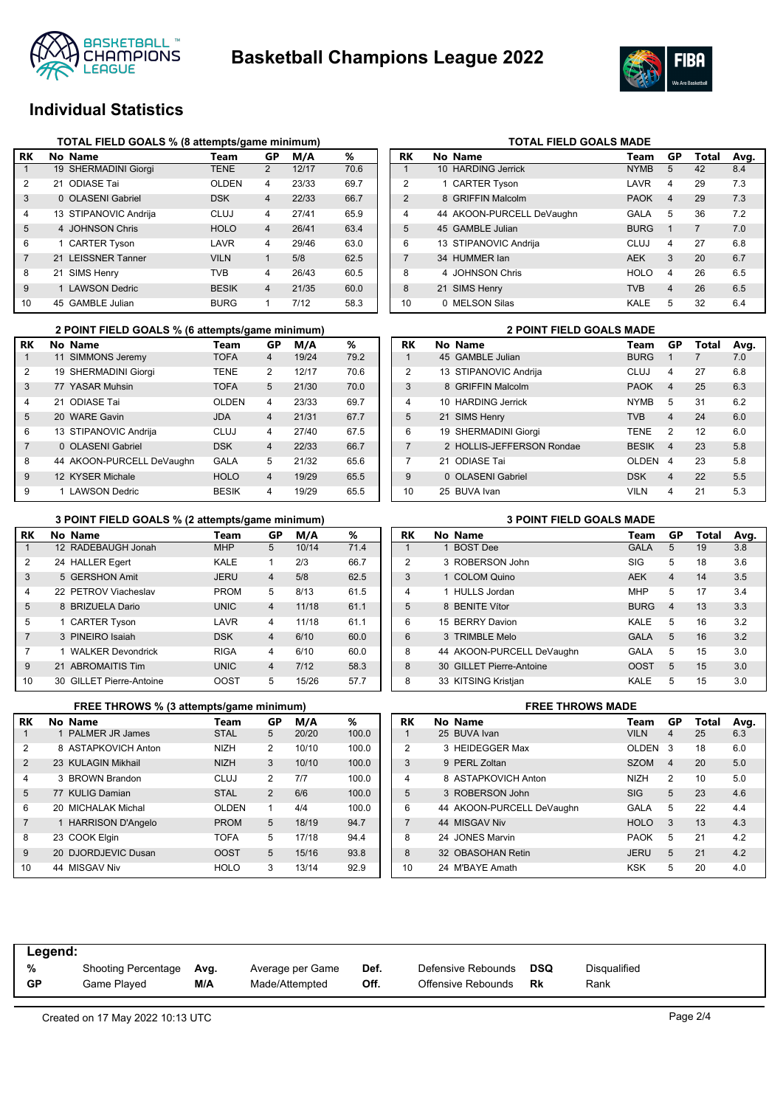



## **Individual Statistics**

|                | TOTAL FIELD GOALS % (8 attempts/game minimum) |                       |              |                |       |      |  |  |  |  |
|----------------|-----------------------------------------------|-----------------------|--------------|----------------|-------|------|--|--|--|--|
| RK             |                                               | No Name               | Team         | GP             | M/A   | %    |  |  |  |  |
| 1              |                                               | 19 SHERMADINI Giorgi  | <b>TENE</b>  | $\overline{2}$ | 12/17 | 70.6 |  |  |  |  |
| 2              | 21.                                           | <b>ODIASE Tai</b>     | <b>OLDEN</b> | 4              | 23/33 | 69.7 |  |  |  |  |
| 3              |                                               | 0 OLASENI Gabriel     | <b>DSK</b>   | $\overline{4}$ | 22/33 | 66.7 |  |  |  |  |
| 4              |                                               | 13 STIPANOVIC Andrija | CLUJ         | 4              | 27/41 | 65.9 |  |  |  |  |
| 5              |                                               | 4 JOHNSON Chris       | <b>HOLO</b>  | $\overline{4}$ | 26/41 | 63.4 |  |  |  |  |
| 6              |                                               | 1 CARTER Tyson        | LAVR         | $\overline{4}$ | 29/46 | 63.0 |  |  |  |  |
| $\overline{7}$ |                                               | 21 LEISSNER Tanner    | <b>VILN</b>  | $\mathbf{1}$   | 5/8   | 62.5 |  |  |  |  |
| 8              |                                               | 21 SIMS Henry         | TVB          | 4              | 26/43 | 60.5 |  |  |  |  |
| 9              |                                               | 1 LAWSON Dedric       | <b>BESIK</b> | $\overline{4}$ | 21/35 | 60.0 |  |  |  |  |
| 10             |                                               | 45 GAMBLE Julian      | <b>BURG</b>  | 1              | 7/12  | 58.3 |  |  |  |  |

|                | 2 POINT FIELD GOALS % (6 attempts/game minimum) |              |                | <b>2 POINT FIELD GOALS MADE</b> |      |                |                           |              |
|----------------|-------------------------------------------------|--------------|----------------|---------------------------------|------|----------------|---------------------------|--------------|
| RK             | No Name                                         | Team         | GP             | M/A                             | %    | <b>RK</b>      | No Name                   | Team         |
|                | 11 SIMMONS Jeremy                               | <b>TOFA</b>  | 4              | 19/24                           | 79.2 |                | 45 GAMBLE Julian          | <b>BURG</b>  |
| 2              | 19 SHERMADINI Giorgi                            | <b>TENE</b>  | $\overline{2}$ | 12/17                           | 70.6 | $\overline{2}$ | 13 STIPANOVIC Andriia     | <b>CLUJ</b>  |
| 3              | 77 YASAR Muhsin                                 | <b>TOFA</b>  | 5              | 21/30                           | 70.0 | 3              | 8 GRIFFIN Malcolm         | <b>PAOK</b>  |
| 4              | 21 ODIASE Tai                                   | <b>OLDEN</b> | 4              | 23/33                           | 69.7 | 4              | 10 HARDING Jerrick        | <b>NYMB</b>  |
| 5              | 20 WARE Gavin                                   | <b>JDA</b>   | $\overline{4}$ | 21/31                           | 67.7 | 5              | 21 SIMS Henry             | <b>TVB</b>   |
| 6              | 13 STIPANOVIC Andrija                           | CLUJ         | 4              | 27/40                           | 67.5 | 6              | 19 SHERMADINI Giorgi      | <b>TENE</b>  |
| $\overline{7}$ | 0 OLASENI Gabriel                               | <b>DSK</b>   | $\overline{4}$ | 22/33                           | 66.7 |                | 2 HOLLIS-JEFFERSON Rondae | <b>BESIK</b> |
| 8              | 44 AKOON-PURCELL DeVaughn                       | <b>GALA</b>  | 5              | 21/32                           | 65.6 |                | 21 ODIASE Tai             | <b>OLDE</b>  |
| 9              | 12 KYSER Michale                                | <b>HOLO</b>  | $\overline{4}$ | 19/29                           | 65.5 | 9              | 0 OLASENI Gabriel         | <b>DSK</b>   |
| 9              | 1 LAWSON Dedric                                 | <b>BESIK</b> | 4              | 19/29                           | 65.5 | 10             | 25 BUVA Ivan              | <b>VILN</b>  |

#### **3 POINT FIELD GOALS % (2 attempts/game minimum) 3 POINT FIELD GOALS MADE**

| RK             | No Name                  | Team        | GP             | M/A   | %    |
|----------------|--------------------------|-------------|----------------|-------|------|
|                | 12 RADEBAUGH Jonah       | <b>MHP</b>  | 5              | 10/14 | 71.4 |
| 2              | 24 HALLER Egert          | KALE        | 1              | 2/3   | 66.7 |
| 3              | 5 GERSHON Amit           | <b>JERU</b> | $\overline{4}$ | 5/8   | 62.5 |
| 4              | 22 PETROV Viacheslav     | <b>PROM</b> | 5              | 8/13  | 61.5 |
| 5              | 8 BRIZUELA Dario         | <b>UNIC</b> | $\overline{4}$ | 11/18 | 61.1 |
| 5              | 1 CARTER Tyson           | LAVR        | 4              | 11/18 | 61.1 |
| $\overline{7}$ | 3 PINEIRO Isaiah         | <b>DSK</b>  | $\overline{4}$ | 6/10  | 60.0 |
| 7              | 1 WALKER Devondrick      | <b>RIGA</b> | 4              | 6/10  | 60.0 |
| 9              | 21 ABROMAITIS Tim        | <b>UNIC</b> | $\overline{4}$ | 7/12  | 58.3 |
| 10             | 30 GILLET Pierre-Antoine | <b>OOST</b> | 5              | 15/26 | 57.7 |

|                | FREE THROWS % (3 attempts/game minimum) |                     |              |                |       |       |  |  |  |  |  |
|----------------|-----------------------------------------|---------------------|--------------|----------------|-------|-------|--|--|--|--|--|
| <b>RK</b>      |                                         | No Name             | Team         | GP             | M/A   | ℅     |  |  |  |  |  |
| 1              |                                         | 1 PALMER JR James   | <b>STAL</b>  | 5              | 20/20 | 100.0 |  |  |  |  |  |
| $\overline{2}$ |                                         | 8 ASTAPKOVICH Anton | <b>NIZH</b>  | $\overline{2}$ | 10/10 | 100.0 |  |  |  |  |  |
| $\overline{2}$ |                                         | 23 KULAGIN Mikhail  | <b>NIZH</b>  | 3              | 10/10 | 100.0 |  |  |  |  |  |
| 4              |                                         | 3 BROWN Brandon     | CLUJ         | $\overline{2}$ | 7/7   | 100.0 |  |  |  |  |  |
| 5              |                                         | 77 KULIG Damian     | <b>STAL</b>  | 2              | 6/6   | 100.0 |  |  |  |  |  |
| 6              |                                         | 20 MICHALAK Michal  | <b>OLDEN</b> | 1              | 4/4   | 100.0 |  |  |  |  |  |
| 7              |                                         | 1 HARRISON D'Angelo | <b>PROM</b>  | 5              | 18/19 | 94.7  |  |  |  |  |  |
| 8              |                                         | 23 COOK Elgin       | <b>TOFA</b>  | 5              | 17/18 | 94.4  |  |  |  |  |  |
| 9              |                                         | 20 DJORDJEVIC Dusan | <b>OOST</b>  | 5              | 15/16 | 93.8  |  |  |  |  |  |
| 10             |                                         | 44 MISGAV Niv       | <b>HOLO</b>  | 3              | 13/14 | 92.9  |  |  |  |  |  |

## **TOTAL FIELD GOALS MADE**

|   | Team                                                                                                                                                                                                                       | GP             | Total          | Avg. |
|---|----------------------------------------------------------------------------------------------------------------------------------------------------------------------------------------------------------------------------|----------------|----------------|------|
|   | <b>NYMB</b>                                                                                                                                                                                                                | 5              | 42             | 8.4  |
|   | LAVR                                                                                                                                                                                                                       | 4              | 29             | 7.3  |
|   | <b>PAOK</b>                                                                                                                                                                                                                | $\overline{4}$ | 29             | 7.3  |
|   | <b>GALA</b>                                                                                                                                                                                                                | 5              | 36             | 7.2  |
|   | <b>BURG</b>                                                                                                                                                                                                                | $\mathbf{1}$   | $\overline{7}$ | 7.0  |
|   | CLUJ                                                                                                                                                                                                                       | 4              | 27             | 6.8  |
|   | <b>AEK</b>                                                                                                                                                                                                                 | 3              | 20             | 6.7  |
|   | <b>HOLO</b>                                                                                                                                                                                                                | 4              | 26             | 6.5  |
|   | <b>TVB</b>                                                                                                                                                                                                                 | $\overline{4}$ | 26             | 6.5  |
| 0 | KALE                                                                                                                                                                                                                       | 5              | 32             | 6.4  |
|   | No Name<br>10 HARDING Jerrick<br>1 CARTER Tyson<br>8 GRIFFIN Malcolm<br>44 AKOON-PURCELL DeVaughn<br>45 GAMBLE Julian<br>13 STIPANOVIC Andrija<br>34 HUMMER lan<br>4 JOHNSON Chris<br>21 SIMS Henry<br><b>MELSON Silas</b> |                |                |      |

| <b>2 POINT FIELD GOALS MADE</b> |  |                           |              |                |       |      |  |  |
|---------------------------------|--|---------------------------|--------------|----------------|-------|------|--|--|
| RK                              |  | No Name                   | Team         | GP             | Total | Avg. |  |  |
| 1                               |  | 45 GAMBLE Julian          | <b>BURG</b>  |                |       | 7.0  |  |  |
| $\mathfrak{p}$                  |  | 13 STIPANOVIC Andrija     | <b>CLUJ</b>  | 4              | 27    | 6.8  |  |  |
| 3                               |  | 8 GRIFFIN Malcolm         | <b>PAOK</b>  | $\overline{4}$ | 25    | 6.3  |  |  |
| $\overline{4}$                  |  | 10 HARDING Jerrick        | <b>NYMB</b>  | 5              | 31    | 6.2  |  |  |
| 5                               |  | 21 SIMS Henry             | <b>TVB</b>   | $\overline{4}$ | 24    | 6.0  |  |  |
| 6                               |  | 19 SHERMADINI Giorgi      | <b>TENE</b>  | $\overline{2}$ | 12    | 6.0  |  |  |
| $\overline{7}$                  |  | 2 HOLLIS-JEFFERSON Rondae | <b>BESIK</b> | $\overline{4}$ | 23    | 5.8  |  |  |
| 7                               |  | 21 ODIASE Tai             | <b>OLDEN</b> | 4              | 23    | 5.8  |  |  |
| 9                               |  | 0 OLASENI Gabriel         | <b>DSK</b>   | $\overline{4}$ | 22    | 5.5  |  |  |
| 10                              |  | 25 BUVA Ivan              | <b>VILN</b>  | $\overline{4}$ | 21    | 5.3  |  |  |

| RK             | No Name                   | Team        | GP             | Total | Avg. |
|----------------|---------------------------|-------------|----------------|-------|------|
| 1              | 1 BOST Dee                | <b>GALA</b> | 5              | 19    | 3.8  |
| $\overline{2}$ | 3 ROBERSON John           | SIG         | 5              | 18    | 3.6  |
| 3              | 1 COLOM Quino             | <b>AEK</b>  | $\overline{4}$ | 14    | 3.5  |
| $\overline{4}$ | 1 HULLS Jordan            | <b>MHP</b>  | 5              | 17    | 3.4  |
| 5              | 8 BENITE Vítor            | <b>BURG</b> | $\overline{4}$ | 13    | 3.3  |
| 6              | 15 BERRY Davion           | KALE        | 5              | 16    | 3.2  |
| 6              | 3 TRIMBLE Melo            | <b>GALA</b> | 5              | 16    | 3.2  |
| 8              | 44 AKOON-PURCELL DeVaughn | GALA        | 5              | 15    | 3.0  |
| 8              | 30 GILLET Pierre-Antoine  | <b>OOST</b> | 5              | 15    | 3.0  |
| 8              | 33 KITSING Kristjan       | KALE        | 5              | 15    | 3.0  |

## **FREE THROWS MADE**

| RK             | No Name                   | Team         | GP             | Total | Avg. |
|----------------|---------------------------|--------------|----------------|-------|------|
|                | 25 BUVA Ivan              | <b>VILN</b>  | 4              | 25    | 6.3  |
| 2              | 3 HEIDEGGER Max           | <b>OLDEN</b> | 3              | 18    | 6.0  |
| 3              | 9 PERL Zoltan             | <b>SZOM</b>  | $\overline{4}$ | 20    | 5.0  |
| $\overline{4}$ | 8 ASTAPKOVICH Anton       | <b>NIZH</b>  | 2              | 10    | 5.0  |
| 5              | 3 ROBERSON John           | <b>SIG</b>   | 5              | 23    | 4.6  |
| 6              | 44 AKOON-PURCELL DeVaughn | GALA         | 5              | 22    | 4.4  |
| $\overline{7}$ | 44 MISGAV Niv             | <b>HOLO</b>  | 3              | 13    | 4.3  |
| 8              | 24 JONES Marvin           | <b>PAOK</b>  | 5              | 21    | 4.2  |
| 8              | 32 OBASOHAN Retin         | <b>JERU</b>  | 5              | 21    | 4.2  |
| 10             | 24 M'BAYE Amath           | <b>KSK</b>   | 5              | 20    | 4.0  |

| Legend:        |                                    |             |                                    |              |                                          |           |                      |
|----------------|------------------------------------|-------------|------------------------------------|--------------|------------------------------------------|-----------|----------------------|
| %<br><b>GP</b> | Shooting Percentage<br>Game Plaved | Avg.<br>M/A | Average per Game<br>Made/Attempted | Def.<br>Off. | Defensive Rebounds<br>Offensive Rebounds | DSQ<br>Rk | Disqualified<br>Rank |
|                |                                    |             |                                    |              |                                          |           |                      |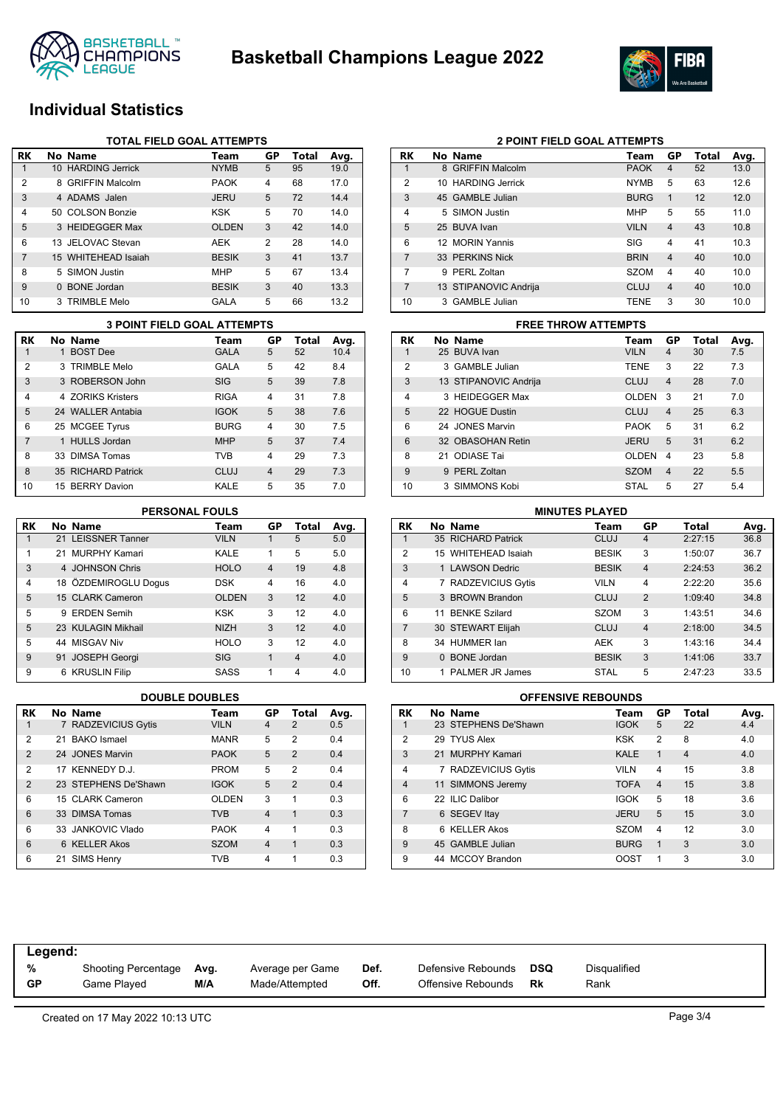



## **Individual Statistics**

|                | <b>TOTAL FIELD GOAL ATTEMPTS</b> |                        |              |    |       |      |  |  |
|----------------|----------------------------------|------------------------|--------------|----|-------|------|--|--|
| RK             |                                  | No Name                | Team         | GP | Total | Avg. |  |  |
| 1              |                                  | 10 HARDING Jerrick     | <b>NYMB</b>  | 5  | 95    | 19.0 |  |  |
| 2              | 8                                | <b>GRIFFIN Malcolm</b> | <b>PAOK</b>  | 4  | 68    | 17.0 |  |  |
| 3              |                                  | 4 ADAMS Jalen          | <b>JERU</b>  | 5  | 72    | 14.4 |  |  |
| $\overline{4}$ |                                  | 50 COLSON Bonzie       | <b>KSK</b>   | 5  | 70    | 14.0 |  |  |
| 5              |                                  | 3 HEIDEGGER Max        | <b>OLDEN</b> | 3  | 42    | 14.0 |  |  |
| 6              |                                  | 13 JELOVAC Stevan      | AEK          | 2  | 28    | 14.0 |  |  |
| $\overline{7}$ |                                  | 15 WHITEHEAD Isaiah    | <b>BESIK</b> | 3  | 41    | 13.7 |  |  |
| 8              |                                  | 5 SIMON Justin         | <b>MHP</b>   | 5  | 67    | 13.4 |  |  |
| 9              |                                  | 0 BONE Jordan          | <b>BESIK</b> | 3  | 40    | 13.3 |  |  |
| 10             |                                  | 3 TRIMBLE Melo         | GALA         | 5  | 66    | 13.2 |  |  |

|                | <b>3 POINT FIELD GOAL ATTEMPTS</b> |                    |             |                |       |      |  |  |
|----------------|------------------------------------|--------------------|-------------|----------------|-------|------|--|--|
| RK             |                                    | No Name            | Team        | <b>GP</b>      | Total | Avg. |  |  |
| 1              |                                    | 1 BOST Dee         | <b>GALA</b> | 5              | 52    | 10.4 |  |  |
| $\overline{2}$ |                                    | 3 TRIMBLE Melo     | GALA        | 5              | 42    | 8.4  |  |  |
| 3              |                                    | 3 ROBERSON John    | SIG         | 5              | 39    | 7.8  |  |  |
| 4              |                                    | 4 70RIKS Kristers  | <b>RIGA</b> | 4              | 31    | 7.8  |  |  |
| 5              |                                    | 24 WALLER Antabia  | <b>IGOK</b> | 5              | 38    | 7.6  |  |  |
| 6              |                                    | 25 MCGEE Tyrus     | <b>BURG</b> | 4              | 30    | 7.5  |  |  |
| $\overline{7}$ |                                    | 1 HULLS Jordan     | <b>MHP</b>  | 5              | 37    | 7.4  |  |  |
| 8              |                                    | 33 DIMSA Tomas     | TVB         | 4              | 29    | 7.3  |  |  |
| 8              |                                    | 35 RICHARD Patrick | CLUJ        | $\overline{4}$ | 29    | 7.3  |  |  |
| 10             |                                    | 15 BERRY Davion    | KALE        | 5              | 35    | 7.0  |  |  |

### **PERSONAL FOULS**

| RK | No Name              | Team         | GP             | Total          | Avg. |
|----|----------------------|--------------|----------------|----------------|------|
| 1  | 21 LEISSNER Tanner   | <b>VILN</b>  | 1              | 5              | 5.0  |
| 1  | 21 MURPHY Kamari     | KALE         | 1              | 5              | 5.0  |
| 3  | 4 JOHNSON Chris      | <b>HOLO</b>  | $\overline{4}$ | 19             | 4.8  |
| 4  | 18 ÖZDEMIROGLU Dogus | <b>DSK</b>   | 4              | 16             | 4.0  |
| 5  | 15 CLARK Cameron     | <b>OLDEN</b> | 3              | 12             | 4.0  |
| 5  | 9 ERDEN Semih        | <b>KSK</b>   | 3              | 12             | 4.0  |
| 5  | 23 KULAGIN Mikhail   | <b>NIZH</b>  | 3              | 12             | 4.0  |
| 5  | 44 MISGAV Niv        | <b>HOLO</b>  | 3              | 12             | 4.0  |
| 9  | 91 JOSEPH Georgi     | <b>SIG</b>   | $\mathbf{1}$   | $\overline{4}$ | 4.0  |
| 9  | 6 KRUSLIN Filip      | SASS         | 1              | 4              | 4.0  |

| RK             | No Name              | Team        | GP | Total          | Avg. |
|----------------|----------------------|-------------|----|----------------|------|
| 1              | 7 RADZEVICIUS Gytis  | <b>VILN</b> | 4  | $\overline{2}$ | 0.5  |
| 2              | 21 BAKO Ismael       | <b>MANR</b> | 5  | $\overline{2}$ | 0.4  |
| $\overline{2}$ | 24 JONES Marvin      | <b>PAOK</b> | 5  | $\overline{2}$ | 0.4  |
| $\overline{2}$ | 17 KENNEDY D.J.      | <b>PROM</b> | 5  | 2              | 0.4  |
| $\overline{2}$ | 23 STEPHENS De'Shawn | <b>IGOK</b> | 5  | $\mathfrak{p}$ | 0.4  |
| 6              | 15 CLARK Cameron     | OLDEN       | 3  | 1              | 0.3  |
| 6              | 33 DIMSA Tomas       | <b>TVB</b>  | 4  | 1              | 0.3  |
| 6              | 33 JANKOVIC Vlado    | <b>PAOK</b> | 4  | 1              | 0.3  |
| 6              | 6 KELLER Akos        | <b>SZOM</b> | 4  | 1              | 0.3  |
| 6              | 21 SIMS Henry        | <b>TVB</b>  | 4  |                | 0.3  |

|                | <b>2 POINT FIELD GOAL ATTEMPTS</b> |                        |             |                |       |      |  |  |
|----------------|------------------------------------|------------------------|-------------|----------------|-------|------|--|--|
| RK             |                                    | No Name                | Team        | GP             | Total | Avg. |  |  |
| 1              | 8                                  | <b>GRIFFIN Malcolm</b> | <b>PAOK</b> | 4              | 52    | 13.0 |  |  |
| $\overline{2}$ | 10                                 | <b>HARDING Jerrick</b> | <b>NYMB</b> | 5              | 63    | 12.6 |  |  |
| 3              |                                    | 45 GAMBLE Julian       | <b>BURG</b> | $\mathbf{1}$   | 12    | 12.0 |  |  |
| 4              |                                    | 5 SIMON Justin         | <b>MHP</b>  | 5              | 55    | 11.0 |  |  |
| 5              |                                    | 25 BUVA Ivan           | <b>VILN</b> | $\overline{4}$ | 43    | 10.8 |  |  |
| 6              |                                    | 12 MORIN Yannis        | SIG         | $\overline{4}$ | 41    | 10.3 |  |  |
| 7              |                                    | 33 PERKINS Nick        | <b>BRIN</b> | $\overline{4}$ | 40    | 10.0 |  |  |
| 7              | 9                                  | PFRI Zoltan            | <b>SZOM</b> | 4              | 40    | 10.0 |  |  |
| 7              |                                    | 13 STIPANOVIC Andrija  | CLUJ        | $\overline{4}$ | 40    | 10.0 |  |  |
| 10             |                                    | 3 GAMBLE Julian        | <b>TENE</b> | 3              | 30    | 10.0 |  |  |

## **3 POINT FIELD GOAL ATTEMPTS FREE THROW ATTEMPTS**

|                | $\overline{ }$ . This design to the set of $\overline{ }$ |                       |              |                |       |      |  |  |
|----------------|-----------------------------------------------------------|-----------------------|--------------|----------------|-------|------|--|--|
| RK             |                                                           | No Name               | Team         | GP             | Total | Avg. |  |  |
|                |                                                           | 25 BUVA Ivan          | <b>VILN</b>  | 4              | 30    | 7.5  |  |  |
| $\overline{2}$ |                                                           | 3 GAMBLE Julian       | <b>TENE</b>  | 3              | 22    | 7.3  |  |  |
| 3              |                                                           | 13 STIPANOVIC Andrija | CLUJ         | $\overline{4}$ | 28    | 7.0  |  |  |
| $\overline{4}$ |                                                           | 3 HEIDEGGER Max       | <b>OLDEN</b> | 3              | 21    | 7.0  |  |  |
| 5              |                                                           | 22 HOGUE Dustin       | CLUJ         | $\overline{4}$ | 25    | 6.3  |  |  |
| 6              |                                                           | 24 JONES Marvin       | <b>PAOK</b>  | 5              | 31    | 6.2  |  |  |
| 6              |                                                           | 32 OBASOHAN Retin     | <b>JERU</b>  | 5              | 31    | 6.2  |  |  |
| 8              | 21                                                        | ODIASE Tai            | OLDEN        | 4              | 23    | 5.8  |  |  |
| 9              |                                                           | 9 PERL Zoltan         | <b>SZOM</b>  | $\overline{4}$ | 22    | 5.5  |  |  |
| 10             |                                                           | 3 SIMMONS Kobi        | <b>STAL</b>  | 5              | 27    | 5.4  |  |  |

| <b>MINUTES PLAYED</b> |  |                        |              |                         |         |      |  |  |
|-----------------------|--|------------------------|--------------|-------------------------|---------|------|--|--|
| <b>RK</b>             |  | No Name                | Team         | GP                      | Total   | Avg. |  |  |
|                       |  | 35 RICHARD Patrick     | CLUJ         | 4                       | 2:27:15 | 36.8 |  |  |
| $\overline{2}$        |  | 15 WHITEHEAD Isaiah    | <b>BESIK</b> | 3                       | 1:50:07 | 36.7 |  |  |
| 3                     |  | 1 LAWSON Dedric        | <b>BESIK</b> | $\overline{\mathbf{4}}$ | 2:24:53 | 36.2 |  |  |
| 4                     |  | 7 RADZEVICIUS Gytis    | <b>VILN</b>  | 4                       | 2:22:20 | 35.6 |  |  |
| 5                     |  | 3 BROWN Brandon        | CLUJ         | $\overline{2}$          | 1:09:40 | 34.8 |  |  |
| 6                     |  | 11 BENKE Szilard       | <b>SZOM</b>  | 3                       | 1:43:51 | 34.6 |  |  |
| $\overline{7}$        |  | 30 STEWART Elijah      | CLUJ         | $\overline{4}$          | 2:18:00 | 34.5 |  |  |
| 8                     |  | 34 HUMMER lan          | <b>AEK</b>   | 3                       | 1:43:16 | 34.4 |  |  |
| 9                     |  | 0 BONE Jordan          | <b>BESIK</b> | 3                       | 1:41:06 | 33.7 |  |  |
| 10                    |  | <b>PALMER JR James</b> | <b>STAL</b>  | 5                       | 2:47:23 | 33.5 |  |  |

### **DOUBLE DOUBLES OFFENSIVE REBOUNDS**

| <b>RK</b>      |  | No Name              | Team        | GP             | Total          | Avg. |  |  |  |  |
|----------------|--|----------------------|-------------|----------------|----------------|------|--|--|--|--|
| 1              |  | 23 STEPHENS De'Shawn | <b>IGOK</b> | 5              | 22             | 4.4  |  |  |  |  |
| $\overline{2}$ |  | 29 TYUS Alex         | <b>KSK</b>  | $\overline{2}$ | 8              | 4.0  |  |  |  |  |
| 3              |  | 21 MURPHY Kamari     | <b>KALE</b> | 1              | $\overline{4}$ | 4.0  |  |  |  |  |
| $\overline{4}$ |  | 7 RADZEVICIUS Gytis  | <b>VILN</b> | 4              | 15             | 3.8  |  |  |  |  |
| $\overline{4}$ |  | 11 SIMMONS Jeremy    | <b>TOFA</b> | $\overline{4}$ | 15             | 3.8  |  |  |  |  |
| 6              |  | 22 ILIC Dalibor      | <b>IGOK</b> | 5              | 18             | 3.6  |  |  |  |  |
| 7              |  | 6 SEGEV Itay         | <b>JERU</b> | 5              | 15             | 3.0  |  |  |  |  |
| 8              |  | 6 KELLER Akos        | <b>SZOM</b> | 4              | 12             | 3.0  |  |  |  |  |
| 9              |  | 45 GAMBLE Julian     | <b>BURG</b> | $\mathbf{1}$   | 3              | 3.0  |  |  |  |  |
| 9              |  | 44 MCCOY Brandon     | OOST        | 1              | 3              | 3.0  |  |  |  |  |

| Legend:   |                            |      |                  |      |                    |     |              |
|-----------|----------------------------|------|------------------|------|--------------------|-----|--------------|
| %         | <b>Shooting Percentage</b> | Avg. | Average per Game | Def. | Defensive Rebounds | DSQ | Disqualified |
| <b>GP</b> | Game Plaved                | M/A  | Made/Attempted   | Off. | Offensive Rebounds | Rk  | Rank         |